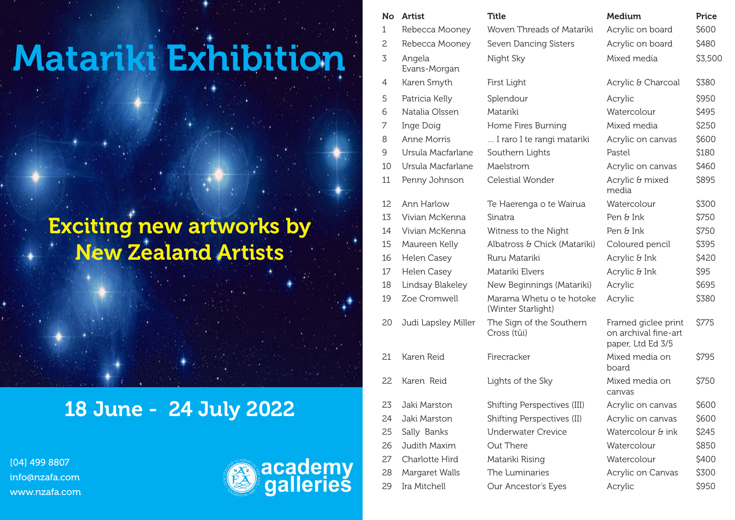## Matariki Exhibition

## Exciting new artworks by New Zealand Artists

## 18 June - 24 July 2022

[04] 499 8807 info@nzafa.com www.nzafa.com



| No | Artist                 | Title                                          | Medium                                                           | Price   |
|----|------------------------|------------------------------------------------|------------------------------------------------------------------|---------|
| 1  | Rebecca Mooney         | Woven Threads of Matariki                      | Acrylic on board                                                 | \$600   |
| 2  | Rebecca Mooney         | Seven Dancing Sisters                          | Acrylic on board                                                 | \$480   |
| 3  | Angela<br>Evans-Morgan | Night Sky                                      | Mixed media                                                      | \$3,500 |
| 4  | Karen Smyth            | First Light                                    | Acrylic & Charcoal                                               | \$380   |
| 5  | Patricia Kelly         | Splendour                                      | Acrylic                                                          | \$950   |
| 6  | Natalia Olssen         | Matariki                                       | Watercolour                                                      | \$495   |
| 7  | Inge Doig              | Home Fires Burning                             | Mixed media                                                      | \$250   |
| 8  | Anne Morris            | I raro I te rangi matariki                     | Acrylic on canvas                                                | \$600   |
| 9  | Ursula Macfarlane      | Southern Lights                                | Pastel                                                           | \$180   |
| 10 | Ursula Macfarlane      | Maelstrom                                      | Acrylic on canvas                                                | \$460   |
| 11 | Penny Johnson          | Celestial Wonder                               | Acrylic & mixed<br>media                                         | \$895   |
| 12 | Ann Harlow             | Te Haerenga o te Wairua                        | Watercolour                                                      | \$300   |
| 13 | Vivian McKenna         | Sinatra                                        | Pen & Ink                                                        | \$750   |
| 14 | Vivian McKenna         | Witness to the Night                           | Pen & Ink                                                        | \$750   |
| 15 | Maureen Kelly          | Albatross & Chick (Matariki)                   | Coloured pencil                                                  | \$395   |
| 16 | Helen Casey            | Ruru Matariki                                  | Acrylic & Ink                                                    | \$420   |
| 17 | Helen Casey            | Matariki Elvers                                | Acrylic & Ink                                                    | \$95    |
| 18 | Lindsay Blakeley       | New Beginnings (Matariki)                      | Acrylic                                                          | \$695   |
| 19 | Zoe Cromwell           | Marama Whetu o te hotoke<br>(Winter Starlight) | Acrylic                                                          | \$380   |
| 20 | Judi Lapsley Miller    | The Sign of the Southern<br>Cross (tūi)        | Framed giclee print<br>on archival fine-art<br>paper, Ltd Ed 3/5 | \$775   |
| 21 | Karen Reid             | Firecracker                                    | Mixed media on<br>board                                          | \$795   |
| 22 | Karen Reid             | Lights of the Sky                              | Mixed media on<br>canvas                                         | \$750   |
| 23 | Jaki Marston           | Shifting Perspectives (III)                    | Acrylic on canvas                                                | \$600   |
| 24 | Jaki Marston           | Shifting Perspectives (II)                     | Acrylic on canvas                                                | \$600   |
| 25 | Sally Banks            | <b>Underwater Crevice</b>                      | Watercolour & ink                                                | \$245   |
| 26 | Judith Maxim           | Out There                                      | Watercolour                                                      | \$850   |
| 27 | Charlotte Hird         | Matariki Rising                                | Watercolour                                                      | \$400   |
| 28 | Margaret Walls         | The Luminaries                                 | Acrylic on Canvas                                                | \$300   |
| 29 | Ira Mitchell           | Our Ancestor's Eyes                            | Acrylic                                                          | \$950   |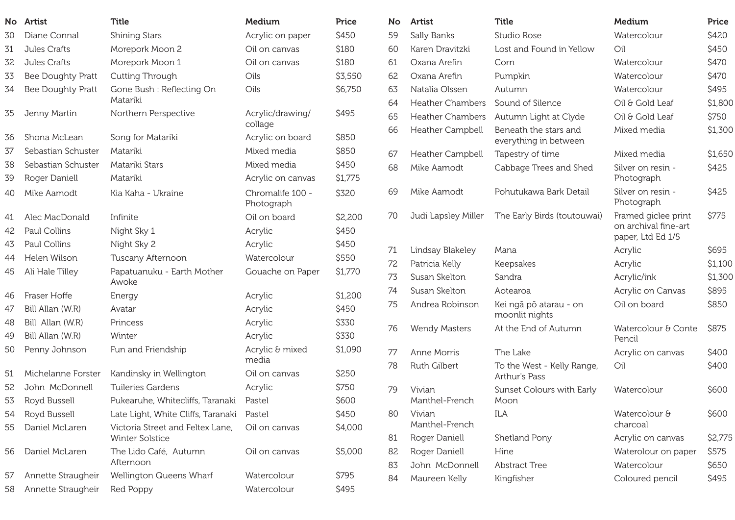|    | No Artist          | <b>Title</b>                                               | Medium                         | Price   |
|----|--------------------|------------------------------------------------------------|--------------------------------|---------|
| 30 | Diane Connal       | <b>Shining Stars</b>                                       | Acrylic on paper               | \$450   |
| 31 | Jules Crafts       | Morepork Moon 2                                            | Oil on canvas                  | \$180   |
| 32 | Jules Crafts       | Morepork Moon 1                                            | Oil on canvas                  | \$180   |
| 33 | Bee Doughty Pratt  | Cutting Through                                            | Oils                           | \$3,550 |
| 34 | Bee Doughty Pratt  | Gone Bush: Reflecting On<br>Matariki                       | Oils                           | \$6,750 |
| 35 | Jenny Martin       | Northern Perspective                                       | Acrylic/drawing/<br>collage    | \$495   |
| 36 | Shona McLean       | Song for Matariki                                          | Acrylic on board               | \$850   |
| 37 | Sebastian Schuster | Matariki                                                   | Mixed media                    | \$850   |
| 38 | Sebastian Schuster | Matariki Stars                                             | Mixed media                    | \$450   |
| 39 | Roger Daniell      | Matariki                                                   | Acrylic on canvas              | \$1,775 |
| 40 | Mike Aamodt        | Kia Kaha - Ukraine                                         | Chromalife 100 -<br>Photograph | \$320   |
| 41 | Alec MacDonald     | Infinite                                                   | Oil on board                   | \$2,200 |
| 42 | Paul Collins       | Night Sky 1                                                | Acrylic                        | \$450   |
| 43 | Paul Collins       | Night Sky 2                                                | Acrylic                        | \$450   |
| 44 | Helen Wilson       | Tuscany Afternoon                                          | Watercolour                    | \$550   |
| 45 | Ali Hale Tilley    | Papatuanuku - Earth Mother<br>Awoke                        | Gouache on Paper               | \$1,770 |
| 46 | Fraser Hoffe       | Energy                                                     | Acrylic                        | \$1,200 |
| 47 | Bill Allan (W.R)   | Avatar                                                     | Acrylic                        | \$450   |
| 48 | Bill Allan (W.R)   | Princess                                                   | Acrylic                        | \$330   |
| 49 | Bill Allan (W.R)   | Winter                                                     | Acrylic                        | \$330   |
| 50 | Penny Johnson      | Fun and Friendship                                         | Acrylic & mixed<br>media       | \$1,090 |
| 51 | Michelanne Forster | Kandinsky in Wellington                                    | Oil on canvas                  | \$250   |
| 52 | John McDonnell     | <b>Tuileries Gardens</b>                                   | Acrylic                        | \$750   |
| 53 | Royd Bussell       | Pukearuhe, Whitecliffs, Taranaki                           | Pastel                         | \$600   |
| 54 | Royd Bussell       | Late Light, White Cliffs, Taranaki                         | Pastel                         | \$450   |
| 55 | Daniel McLaren     | Victoria Street and Feltex Lane,<br><b>Winter Solstice</b> | Oil on canvas                  | \$4,000 |
| 56 | Daniel McLaren     | The Lido Café, Autumn<br>Afternoon                         | Oil on canvas                  | \$5,000 |
| 57 | Annette Straugheir | Wellington Queens Wharf                                    | Watercolour                    | \$795   |
| 58 | Annette Straugheir | Red Poppy                                                  | Watercolour                    | \$495   |

| No | <b>Artist</b>            | <b>Title</b>                                   | Medium                                                           | Price   |
|----|--------------------------|------------------------------------------------|------------------------------------------------------------------|---------|
| 59 | Sally Banks              | Studio Rose                                    | Watercolour                                                      | \$420   |
| 60 | Karen Dravitzki          | Lost and Found in Yellow                       | Oil                                                              | \$450   |
| 61 | Oxana Arefin             | Corn                                           | Watercolour                                                      | \$470   |
| 62 | Oxana Arefin             | Pumpkin                                        | Watercolour                                                      | \$470   |
| 63 | Natalia Olssen           | Autumn                                         | Watercolour                                                      | \$495   |
| 64 | <b>Heather Chambers</b>  | Sound of Silence                               | Oil & Gold Leaf                                                  | \$1,800 |
| 65 | <b>Heather Chambers</b>  | Autumn Light at Clyde                          | Oil & Gold Leaf                                                  | \$750   |
| 66 | Heather Campbell         | Beneath the stars and<br>everything in between | Mixed media                                                      | \$1,300 |
| 67 | Heather Campbell         | Tapestry of time                               | Mixed media                                                      | \$1,650 |
| 68 | Mike Aamodt              | Cabbage Trees and Shed                         | Silver on resin -<br>Photograph                                  | \$425   |
| 69 | Mike Aamodt              | Pohutukawa Bark Detail                         | Silver on resin -<br>Photograph                                  | \$425   |
| 70 | Judi Lapsley Miller      | The Early Birds (toutouwai)                    | Framed giclee print<br>on archival fine-art<br>paper, Ltd Ed 1/5 | \$775   |
| 71 | Lindsay Blakeley         | Mana                                           | Acrylic                                                          | \$695   |
| 72 | Patricia Kelly           | Keepsakes                                      | Acrylic                                                          | \$1,100 |
| 73 | Susan Skelton            | Sandra                                         | Acrylic/ink                                                      | \$1,300 |
| 74 | Susan Skelton            | Aotearoa                                       | Acrylic on Canvas                                                | \$895   |
| 75 | Andrea Robinson          | Kei ngā pō atarau - on<br>moonlit nights       | Oil on board                                                     | \$850   |
| 76 | <b>Wendy Masters</b>     | At the End of Autumn                           | Watercolour & Conte<br>Pencil                                    | \$875   |
| 77 | Anne Morris              | The Lake                                       | Acrylic on canvas                                                | \$400   |
| 78 | Ruth Gilbert             | To the West - Kelly Range,<br>Arthur's Pass    | Oil                                                              | \$400   |
| 79 | Vivian<br>Manthel-French | Sunset Colours with Early<br>Moon              | Watercolour                                                      | \$600   |
| 80 | Vivian<br>Manthel-French | ILA                                            | Watercolour &<br>charcoal                                        | \$600   |
| 81 | Roger Daniell            | Shetland Pony                                  | Acrylic on canvas                                                | \$2,775 |
| 82 | Roger Daniell            | Hine                                           | Waterolour on paper                                              | \$575   |
| 83 | John McDonnell           | <b>Abstract Tree</b>                           | Watercolour                                                      | \$650   |
| 84 | Maureen Kelly            | Kingfisher                                     | Coloured pencil                                                  | \$495   |
|    |                          |                                                |                                                                  |         |